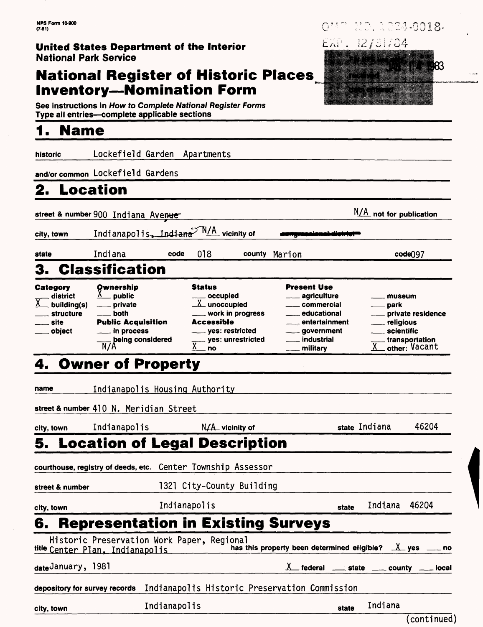## **National Register of Historic Places Inventory—Nomination Form**

**See instructions in How to Complete National Register Forms Type all entries—complete applicable sections**

## **1. Name**

| historic                                                                       | Lockefield Garden                                                                                            |              | Apartments                             |                                                                                             |                                                                                                                                        |                     |                                           |                                                      |
|--------------------------------------------------------------------------------|--------------------------------------------------------------------------------------------------------------|--------------|----------------------------------------|---------------------------------------------------------------------------------------------|----------------------------------------------------------------------------------------------------------------------------------------|---------------------|-------------------------------------------|------------------------------------------------------|
|                                                                                | and/or common Lockefield Gardens                                                                             |              |                                        |                                                                                             |                                                                                                                                        |                     |                                           |                                                      |
| 2.<br>Location                                                                 |                                                                                                              |              |                                        |                                                                                             |                                                                                                                                        |                     |                                           |                                                      |
|                                                                                | street & number 900 Indiana Avenue                                                                           |              |                                        |                                                                                             |                                                                                                                                        |                     | $N/A$ not for publication                 |                                                      |
| city, town                                                                     | Indianapolis, Indiana <sup>M/A</sup> vicinity of                                                             |              |                                        |                                                                                             |                                                                                                                                        |                     |                                           |                                                      |
| state                                                                          | Indiana                                                                                                      | code         | 018                                    |                                                                                             | county Marion                                                                                                                          |                     |                                           | code <sup>097</sup>                                  |
| 3.                                                                             | <b>Classification</b>                                                                                        |              |                                        |                                                                                             |                                                                                                                                        |                     |                                           |                                                      |
| Category<br>district<br><u>X</u><br>building(s)<br>structure<br>site<br>object | Ownership<br>public<br>private<br>both<br><b>Public Acquisition</b><br>in process<br>being considered<br>N/A |              | <b>Status</b><br>Accessible<br>Χ<br>no | occupied<br>$X$ unoccupied<br>work in progress<br>$\_$ yes: restricted<br>yes: unrestricted | <b>Present Use</b><br>agriculture<br>commercial<br>educational<br>entertainment<br><sub>-</sub> government<br>_ industrial<br>military |                     | museum<br>park<br>religious<br>scientific | private residence<br>transportation<br>other: Vacant |
|                                                                                | <b>4. Owner of Property</b>                                                                                  |              |                                        |                                                                                             |                                                                                                                                        |                     |                                           |                                                      |
| name                                                                           | Indianapolis Housing Authority<br>street & number 410 N. Meridian Street                                     |              |                                        |                                                                                             |                                                                                                                                        |                     |                                           |                                                      |
| city, town                                                                     | Indianapolis                                                                                                 |              |                                        | $N/A$ vicinity of                                                                           |                                                                                                                                        | state Indiana       |                                           | 46204                                                |
|                                                                                | 5. Location of Legal Description                                                                             |              |                                        |                                                                                             |                                                                                                                                        |                     |                                           |                                                      |
|                                                                                | courthouse, registry of deeds, etc. Center Township Assessor                                                 |              |                                        |                                                                                             |                                                                                                                                        |                     |                                           |                                                      |
| street & number                                                                |                                                                                                              |              |                                        | 1321 City-County Building                                                                   |                                                                                                                                        |                     |                                           |                                                      |
| city, town                                                                     |                                                                                                              | Indianapolis |                                        |                                                                                             |                                                                                                                                        | state               | Indiana                                   | 46204                                                |
| 6.                                                                             | <b>Representation in Existing Surveys</b>                                                                    |              |                                        |                                                                                             |                                                                                                                                        |                     |                                           |                                                      |
|                                                                                | Historic Preservation Work Paper, Regional<br><sup>title</sup> Center Plan, Indianapolis                     |              |                                        |                                                                                             | has this property been determined eligible?                                                                                            |                     | $\lambda$ yes                             | no                                                   |
| <sub>date</sub> January, 1981                                                  |                                                                                                              |              |                                        |                                                                                             |                                                                                                                                        | federal _____ state | county _                                  | local                                                |
| depository for survey records                                                  |                                                                                                              |              |                                        |                                                                                             | Indianapolis Historic Preservation Commission                                                                                          |                     |                                           |                                                      |
| city, town                                                                     |                                                                                                              | Indianapolis |                                        |                                                                                             |                                                                                                                                        | state               | Indiana                                   |                                                      |

110.1024-0018- $O^{\frac{1}{2}5}$ 

183

EXP. 12/31/84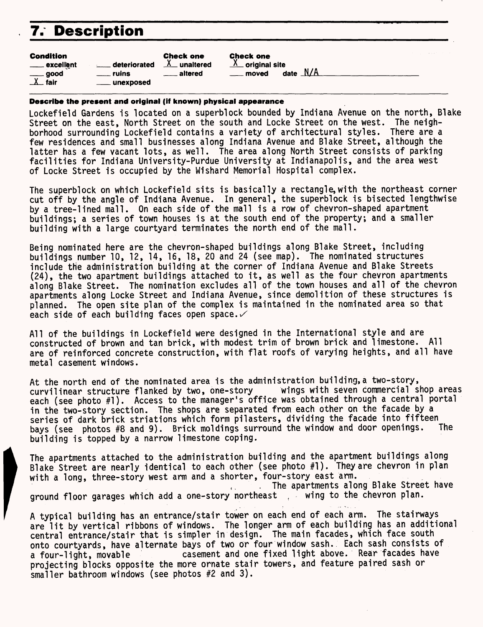# **7. Description**

| Condition              |                | <b>Check one</b>   |
|------------------------|----------------|--------------------|
| <u>__</u> __ excellent | deteriorated   | $X$ unaltered      |
| $\equiv$ good          | $\equiv$ ruins | <u>__</u> _altered |
| $\lambda$ fair         | ____ unexposed |                    |

Check one

 $\frac{\lambda}{\lambda}$  original site moved date N/A

#### **Describe the present and original (if known) physical appearance**

Lockefield Gardens is located on a superblock bounded by Indiana Avenue on the north. Blake Street on the east, North Street on the south and Locke Street on the west. The neighborhood surrounding Lockefield contains a variety of architectural styles. There are a few residences and small businesses along Indiana Avenue and Blake Street, although the latter has a few vacant lots, as well. The area along North Street consists of parking facilities for Indiana University-Purdue University at Indianapolis, and the area west of Locke Street is occupied by the Wishard Memorial Hospital complex.

The superblock on which Lockefield sits is basically a rectangle, with the northeast corner cut off by the angle of Indiana Avenue. In genera!, the superblock is bisected lengthwise by a tree-lined mall. On each side of the mall is a row of chevron-shaped apartment buildings; a series of town houses is at the south end of the property; and a smaller building with a large courtyard terminates the north end of the mall.

Being nominated here are the chevron-shaped buildings along Blake Street, including buildings number 10, 12, 14, 16, 18, 20 and 24 (see map). The nominated structures include the administration building at the corner of Indiana Avenue and Blake Streets (24), the two apartment buildings attached to it, as well as the four chevron apartments along Blake Street. The nomination excludes all of the town houses and all of the chevron apartments along Locke Street and Indiana Avenue, since demolition of these structures is planned. The open site plan of the complex is maintained in the nominated area so that each side of each building faces open space.  $\checkmark$ 

All of the buildings in Lockefield were designed in the International style and are constructed of brown and tan brick, with modest trim of brown brick and limestone. All are of reinforced concrete construction, with flat roofs of varying heights, and all have metal casement windows.

At the north end of the nominated area is the administration building, a two-story,<br>curvilinear structure flanked by two, one-story wings with seven commercial shop areas curvilinear structure flanked by two, one-story each (see photo #1). Access to the manager's office was obtained through a central portal in the two-story section. The shops are separated from each other on the facade by a series of dark brick striations which form pilasters, dividing the facade into fifteen<br>bays (see, photos #8 and 9) Brick moldings surround the window and door openings. The bays (see photos #8 and 9). Brick moldings surround the window and door openings. building is topped by a narrow limestone coping.

The apartments attached to the administration building and the apartment buildings along Blake Street are nearly identical to each other (see photo #1). They are chevron in plan with a long, three-story west arm and a shorter, four-story east arm. ,, The apartments along Blake Street have ground floor garages which add a one-story northeast, wing to the chevron plan.

A typical building has an entrance/stair tower on each end of each arm. The stairways are lit by vertical ribbons of windows. The longer arm of each building has an additional central entrance/stair that is simpler in design. The main facades, which face south onto courtyards, have alternate bays of two or four window sash. Each sash consists of a four-light, movable casement and one fixed light above. Rear facades have projecting blocks opposite the more ornate stair towers, and feature paired sash or smaller bathroom windows (see photos #2 and 3).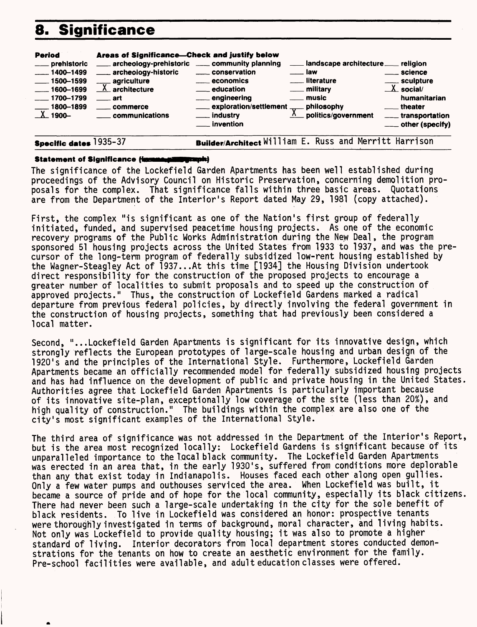## 8. Significance

| archeology-prehistoric ____ community planning<br>___ landscape architecture __ religion<br>___ prehistoric                                                                                                                                                                                                                                                                                                                                                                                                                                                                                                                                                                      |                                                             |
|----------------------------------------------------------------------------------------------------------------------------------------------------------------------------------------------------------------------------------------------------------------------------------------------------------------------------------------------------------------------------------------------------------------------------------------------------------------------------------------------------------------------------------------------------------------------------------------------------------------------------------------------------------------------------------|-------------------------------------------------------------|
| ____ archeology-historic<br>_____ conservation<br>$-1400 - 1499$<br><u>naw</u><br><u>__</u> _science<br>___ literature<br>____ sculpture<br>$\frac{1}{2}$ 1500-1599<br>____ agriculture<br><u>__</u> economics<br>$\lambda$ social/<br>$\underline{\lambda}$ architecture<br><u>__</u> __ education<br><u>_</u> __ military<br>$\frac{1600 - 1699}{1600 - 1699}$<br><u>__</u> music<br>____ engineering<br>$-1700 - 1799$<br>$\equiv$ art<br>____ exploration/settlement .<br>$\frac{1}{\sqrt{2}}$ philosophy<br>$- 1800 - 1899$<br><u>__</u> theater<br>. commerce<br><b>X</b> _ 1900-<br>$\Lambda$ politics/government<br>___ industry<br>_____ communications<br>__ invention | humanitarian<br>____ transportation<br>____ other (specify) |

**Specific dates** 1935-37 **Builder/Architect William E. Russ and Merritt Harrison** 

#### **Statement of Significance final** talawat

The significance of the Lockefield Garden Apartments has been well established during proceedings of the Advisory Council on Historic Preservation, concerning demolition proposals for the complex. That significance falls within three basic areas. Quotations are from the Department of the Interior's Report dated May 29, 1981 (copy attached).

First, the complex "is significant as one of the Nation's first group of federally initiated, funded, and supervised peacetime housing projects. As one of the economic recovery programs of the Public Works Administration during the New Deal, the program sponsored 51 housing projects across the United States from 1933 to 1937, and was the precursor of the long-term program of federally subsidized low-rent housing established by the Wagner-Steagley Act of 1937...At this time [1934] the Housing Division undertook direct responsibility for the construction of the proposed projects to encourage a greater number of localities to submit proposals and to speed up the construction of approved projects." Thus, the construction of Lockefield Gardens marked a radical departure from previous federal policies, by directly involving the federal government in the construction of housing projects, something that had previously been considered a local matter.

Second, "...Lockefield Garden Apartments is significant for its innovative design, which strongly reflects the European prototypes of large-scale housing and urban design of the 1920's and the principles of the International Style. Furthermore, Lockefield Garden Apartments became an officially recommended model for federally subsidized housing projects and has had influence on the development of public and private housing in the United States. Authorities agree that Lockefield Garden Apartments is particularly important because of its innovative site-plan, exceptionally low coverage of the site (less than 20%), and high quality of construction." The buildings within the complex are also one of the city's most significant examples of the International Style.

The third area of significance was not addressed in the Department of the Interior's Report, but is the area most recognized locally: Lockefield Gardens is significant because of its unparalleled importance to the local black community. The Lockefield Garden Apartments was erected in an area that, in the early 1930's, suffered from conditions more deplorable than any that exist today in Indianapolis. Houses faced each other along open gullies. Only a few water pumps and outhouses serviced the area. When Lockefield was built, it became a source of pride and of hope for the local community, especially its black citizens. There had never been such a large-scale undertaking in the city for the sole benefit of black residents. To live in Lockefield was considered an honor: prospective tenants were thoroughly investigated in terms of background, moral character, and living habits. Not only was Lockefield to provide quality housing; it was also to promote a higher standard of living. Interior decorators from local department stores conducted demonstrations for the tenants on how to create an aesthetic environment for the family. Pre-school facilities were available, and adult education classes were offered.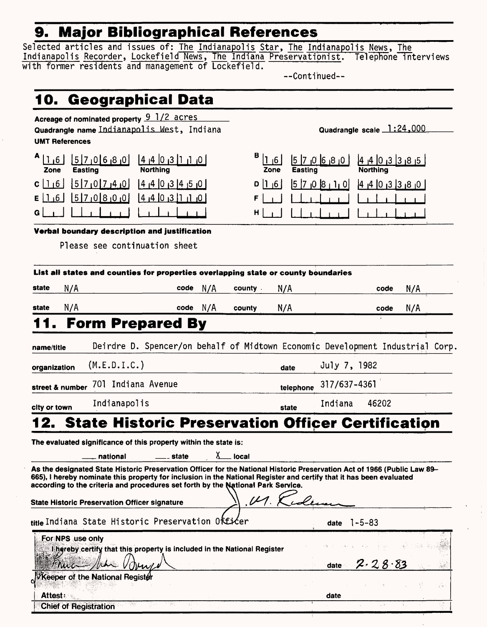## **9. Major Bibliographical References**

Selected articles and issues of: <u>The Indianapolis</u> Star, The Indianapolis News, The Indianapolis Recorder, Lockefield News, The Indiana Preservationist. Telephone interviews with former residents and management of Lockefield.

—Continued—

| 10. Geographical Data                                                                                                                                                                                                                                                                                                               |                                                                                    |                                              |                           |                           |
|-------------------------------------------------------------------------------------------------------------------------------------------------------------------------------------------------------------------------------------------------------------------------------------------------------------------------------------|------------------------------------------------------------------------------------|----------------------------------------------|---------------------------|---------------------------|
| Acreage of nominated property 9 1/2 acres<br><b>UMT References</b>                                                                                                                                                                                                                                                                  | Quadrangle name Indianapolis Mest, Indiana                                         |                                              | Quadrangle scale 1:24,000 |                           |
| 5/7/06/8/0<br>$ 1_16 $<br>Easting<br>Zone                                                                                                                                                                                                                                                                                           | 4 4 0 3 1 0 <br>Northing                                                           | в<br>$ 1 $ <sub>1</sub> 6<br>Easting<br>Zone | $ 0 8 0 7$  0  8  9       | 4   4   0   3   3   8   5 |
| 5 7 0 7 4 0 <br>$C \mid 1 \mid 6 \mid$<br>$0 0 $ 0 0 $0 0 $<br>$E \mid 16$<br>G.                                                                                                                                                                                                                                                    | $[4, 4]$ $[6, 3]$ $[4, 5]$<br>0, 1, 1, 0, 0, 0, 0                                  | 0 1 6 <br>F<br>н                             | $5$ $7$ $0$ $8$ $1$ $0$   | 4403330                   |
|                                                                                                                                                                                                                                                                                                                                     |                                                                                    |                                              |                           |                           |
| Verbal boundary description and justification                                                                                                                                                                                                                                                                                       | Please see continuation sheet                                                      |                                              |                           |                           |
|                                                                                                                                                                                                                                                                                                                                     | List all states and counties for properties overlapping state or county boundaries |                                              |                           |                           |
| N/A<br>state                                                                                                                                                                                                                                                                                                                        | N/A<br>code                                                                        | N/A<br>county.                               |                           | N/A<br>code               |
| N/A<br>state                                                                                                                                                                                                                                                                                                                        | code $N/A$                                                                         | N/A<br>county                                |                           | N/A<br>code               |
|                                                                                                                                                                                                                                                                                                                                     | <b>Form Prepared By</b>                                                            |                                              |                           |                           |
| name/title                                                                                                                                                                                                                                                                                                                          | Deirdre D. Spencer/on behalf of Midtown Economic Development Industrial Corp.      |                                              |                           |                           |
| (M.E.D.I.C.)<br>organization                                                                                                                                                                                                                                                                                                        |                                                                                    | date                                         | July 7, 1982              |                           |
| street & number                                                                                                                                                                                                                                                                                                                     | 701 Indiana Avenue                                                                 | telephone                                    | 317/637-4361              |                           |
| Indianapolis<br>city or town                                                                                                                                                                                                                                                                                                        |                                                                                    | state                                        | Indiana<br>46202          |                           |
| 12.                                                                                                                                                                                                                                                                                                                                 | <b>State Historic Preservation Officer Certification</b>                           |                                              |                           |                           |
| The evaluated significance of this property within the state is:                                                                                                                                                                                                                                                                    |                                                                                    |                                              |                           |                           |
| national                                                                                                                                                                                                                                                                                                                            | state                                                                              | local                                        |                           |                           |
| As the designated State Historic Preservation Officer for the National Historic Preservation Act of 1966 (Public Law 89–<br>665), I hereby nominate this property for inclusion in the National Register and certify that it has been evaluated<br>according to the criteria and procedures set forth by the National Park Service. |                                                                                    |                                              |                           |                           |
| <b>State Historic Preservation Officer signature</b>                                                                                                                                                                                                                                                                                |                                                                                    |                                              |                           |                           |
| titleIndiana State Historic Preservation Officer                                                                                                                                                                                                                                                                                    |                                                                                    |                                              | $1 - 5 - 83$<br>date      |                           |
| For NPS use only                                                                                                                                                                                                                                                                                                                    | lingreby certify that this property is included in the National Register           |                                              |                           |                           |
| H Nu c                                                                                                                                                                                                                                                                                                                              |                                                                                    |                                              | 2.28.83<br>date           |                           |
| VKeeper of the National Register                                                                                                                                                                                                                                                                                                    |                                                                                    |                                              |                           | $\sqrt{2}$                |
| <b>Attest</b>                                                                                                                                                                                                                                                                                                                       | 32.07                                                                              |                                              | date                      |                           |
| <b>Chief of Registration</b>                                                                                                                                                                                                                                                                                                        |                                                                                    |                                              |                           |                           |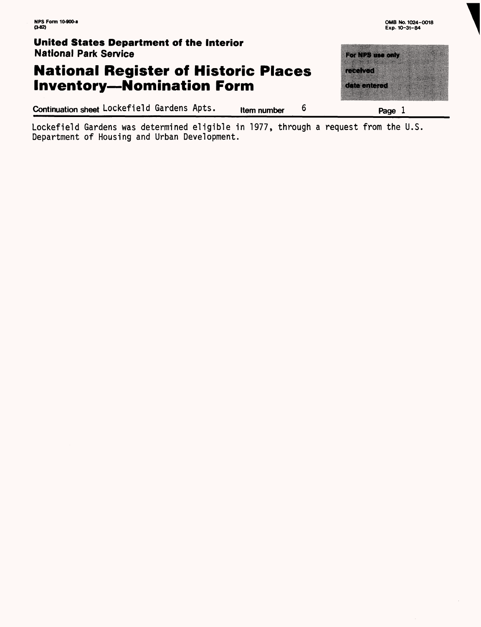## **National Register of Historic Places Inventory—Nomination Form**

**Continuation sheet** Lockefield Gardens Apts. **Item number 6 Page 1** 

to a 175 m com n Till <u>mana</u>

Lockefield Gardens was determined eligible in 1977, through a request from the U.S. Department of Housing and Urban Development.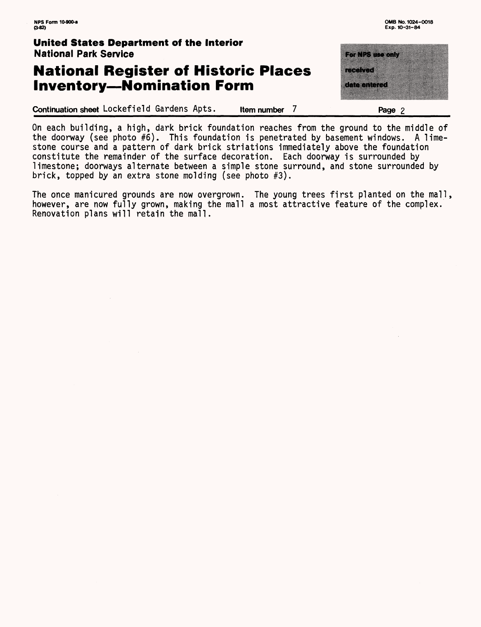### **National Register of Historic Places Inventory—Nomination Form**

Continuation sheet Lockefield Gardens Apts. **Item number 7\_\_\_\_\_\_\_\_\_\_\_\_Page 2\_\_\_\_\_\_**

<u>ransa da</u>n a a shekara a ta 1970 <u>ananan</u>

On each building, a high, dark brick foundation reaches from the ground to the middle of the doorway (see photo #6). This foundation is penetrated by basement windows. A limestone course and a pattern of dark brick striations immediately above the foundation constitute the remainder of the surface decoration. Each doorway is surrounded by limestone; doorways alternate between a simple stone surround, and stone surrounded by brick, topped by an extra stone molding (see photo #3).

The once manicured grounds are now overgrown. The young trees first planted on the mall, however, are now fully grown, making the mall a most attractive feature of the complex. Renovation plans will retain the mall.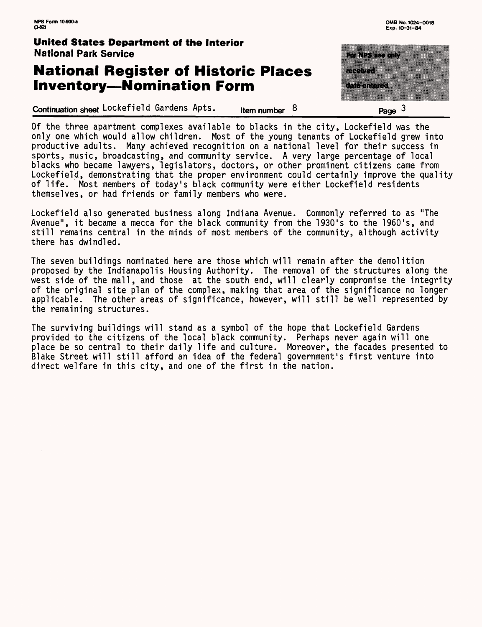## **National Register of Historic Places Inventory—Nomination Form**

**Continuation sheet Lockefield Gardens Apts.** Item number 8

r an San a da da da a a mata wa Tanzania Page  $3$ 

Of the three apartment complexes available to blacks in the city, Lockefield was the only one which would allow children. Most of the young tenants of Lockefield grew into productive adults. Many achieved recognition on a national level for their success in sports, music, broadcasting, and community service. A very large percentage of local blacks who became lawyers, legislators, doctors, or other prominent citizens came from Lockefield, demonstrating that the proper environment could certainly improve the quality of life. Most members of today's black community were either Lockefield residents themselves, or had friends or family members who were.

Lockefield also generated business along Indiana Avenue. Commonly referred to as "The Avenue", it became a mecca for the black community from the 1930's to the 1960's, and still remains central in the minds of most members of the community, although activity there has dwindled.

The seven buildings nominated here are those which will remain after the demolition proposed by the Indianapolis Housing Authority. The removal of the structures along the west side of the mall, and those at the south end, will clearly compromise the integrity of the original site plan of the complex, making that area of the significance no longer applicable. The other areas of significance, however, will still be well represented by the remaining structures.

The surviving buildings will stand as a symbol of the hope that Lockefield Gardens provided to the citizens of the local black community. Perhaps never again will one place be so central to their daily life and culture. Moreover, the facades presented to Blake Street will still afford an idea of the federal government's first venture into direct welfare in this city, and one of the first in the nation.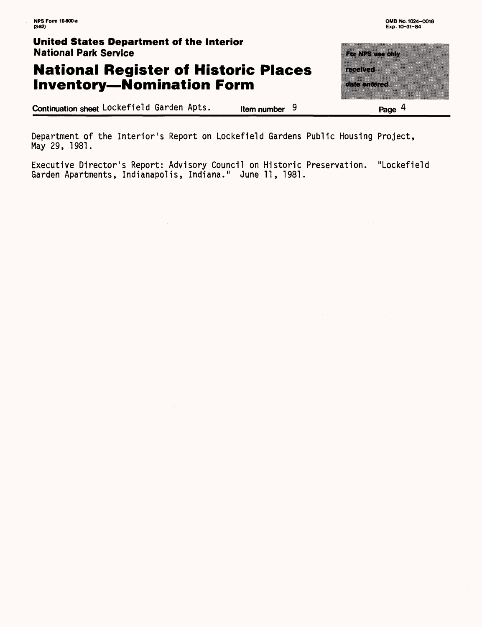## **National Register of Historic Places Inventory—Nomination Form**

**Continuation sheet** Lockefield Garden Apts. **Item number 9 2008 Page 4** 

For NPS use only **MARK AND AN** taanaa

Department of the Interior's Report on Lockefield Gardens Public Housing Project, May 29, 1981.

Executive Director's Report: Advisory Council on Historic Preservation. "Lockefield Garden Apartments, Indianapolis, Indiana." June 11, 1981.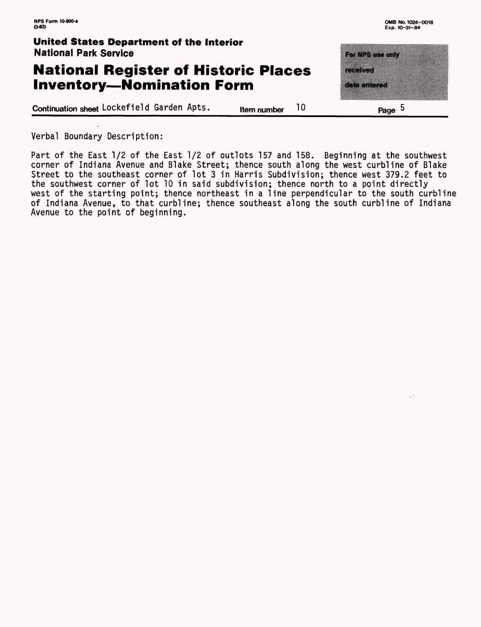#### **National Register of Historic Places Inventory—Nomination Form**

**Continuation sheet** Lockefield Garden Apts. **Local Hume number** 10 **Example 1** Page 5

**RANGSIR ON** a manaza

Verbal Boundary Description:

Part of the East 1/2 of the East 1/2 of outlots 157 and 158. Beginning at the southwest corner of Indiana Avenue and Blake Street; thence south along the west curbline of Blake Street to the southeast corner of lot 3 in Harris Subdivision; thence west 379.2 feet to the southwest corner of lot 10 in said subdivision; thence north to a point directly west of the starting point; thence northeast in a line perpendicular to the south curbline of Indiana Avenue, to that curbline; thence southeast along the south curbline of Indiana Avenue to the point of beginning.